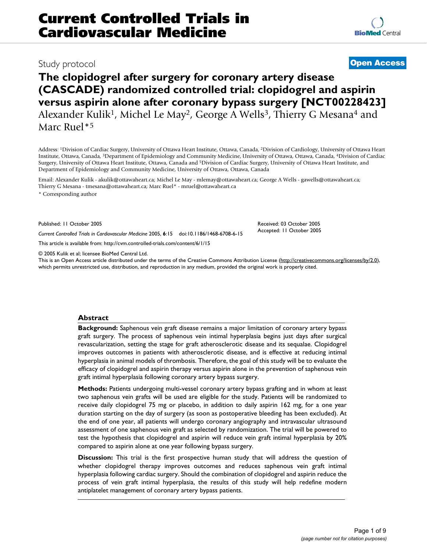# **The clopidogrel after surgery for coronary artery disease (CASCADE) randomized controlled trial: clopidogrel and aspirin versus aspirin alone after coronary bypass surgery [NCT00228423]** Alexander Kulik<sup>1</sup>, Michel Le May<sup>2</sup>, George A Wells<sup>3</sup>, Thierry G Mesana<sup>4</sup> and Marc Ruel\*5

Address: 1Division of Cardiac Surgery, University of Ottawa Heart Institute, Ottawa, Canada, 2Division of Cardiology, University of Ottawa Heart Institute, Ottawa, Canada, 3Department of Epidemiology and Community Medicine, University of Ottawa, Ottawa, Canada, 4Division of Cardiac Surgery, University of Ottawa Heart Institute, Ottawa, Canada and 5Division of Cardiac Surgery, University of Ottawa Heart Institute, and Department of Epidemiology and Community Medicine, University of Ottawa, Ottawa, Canada

Email: Alexander Kulik - akulik@ottawaheart.ca; Michel Le May - mlemay@ottawaheart.ca; George A Wells - gawells@ottawaheart.ca; Thierry G Mesana - tmesana@ottawaheart.ca; Marc Ruel\* - mruel@ottawaheart.ca

\* Corresponding author

Published: 11 October 2005

*Current Controlled Trials in Cardiovascular Medicine* 2005, **6**:15 doi:10.1186/1468-6708-6-15

[This article is available from: http://cvm.controlled-trials.com/content/6/1/15](http://cvm.controlled-trials.com/content/6/1/15)

© 2005 Kulik et al; licensee BioMed Central Ltd.

This is an Open Access article distributed under the terms of the Creative Commons Attribution License [\(http://creativecommons.org/licenses/by/2.0\)](http://creativecommons.org/licenses/by/2.0), which permits unrestricted use, distribution, and reproduction in any medium, provided the original work is properly cited.

#### **Abstract**

**Background:** Saphenous vein graft disease remains a major limitation of coronary artery bypass graft surgery. The process of saphenous vein intimal hyperplasia begins just days after surgical revascularization, setting the stage for graft atherosclerotic disease and its sequalae. Clopidogrel improves outcomes in patients with atherosclerotic disease, and is effective at reducing intimal hyperplasia in animal models of thrombosis. Therefore, the goal of this study will be to evaluate the efficacy of clopidogrel and aspirin therapy versus aspirin alone in the prevention of saphenous vein graft intimal hyperplasia following coronary artery bypass surgery.

**Methods:** Patients undergoing multi-vessel coronary artery bypass grafting and in whom at least two saphenous vein grafts will be used are eligible for the study. Patients will be randomized to receive daily clopidogrel 75 mg or placebo, in addition to daily aspirin 162 mg, for a one year duration starting on the day of surgery (as soon as postoperative bleeding has been excluded). At the end of one year, all patients will undergo coronary angiography and intravascular ultrasound assessment of one saphenous vein graft as selected by randomization. The trial will be powered to test the hypothesis that clopidogrel and aspirin will reduce vein graft intimal hyperplasia by 20% compared to aspirin alone at one year following bypass surgery.

**Discussion:** This trial is the first prospective human study that will address the question of whether clopidogrel therapy improves outcomes and reduces saphenous vein graft intimal hyperplasia following cardiac surgery. Should the combination of clopidogrel and aspirin reduce the process of vein graft intimal hyperplasia, the results of this study will help redefine modern antiplatelet management of coronary artery bypass patients.

# Study protocol **[Open Access](http://www.biomedcentral.com/info/about/charter/)**

Received: 03 October 2005 Accepted: 11 October 2005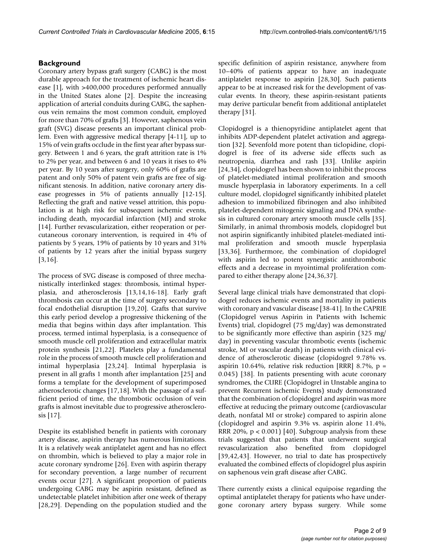# **Background**

Coronary artery bypass graft surgery (CABG) is the most durable approach for the treatment of ischemic heart disease [1], with >400,000 procedures performed annually in the United States alone [2]. Despite the increasing application of arterial conduits during CABG, the saphenous vein remains the most common conduit, employed for more than 70% of grafts [3]. However, saphenous vein graft (SVG) disease presents an important clinical problem. Even with aggressive medical therapy [4-11], up to 15% of vein grafts occlude in the first year after bypass surgery. Between 1 and 6 years, the graft attrition rate is 1% to 2% per year, and between 6 and 10 years it rises to 4% per year. By 10 years after surgery, only 60% of grafts are patent and only 50% of patent vein grafts are free of significant stenosis. In addition, native coronary artery disease progresses in 5% of patients annually [12-15]. Reflecting the graft and native vessel attrition, this population is at high risk for subsequent ischemic events, including death, myocardial infarction (MI) and stroke [14]. Further revascularization, either reoperation or percutaneous coronary intervention, is required in 4% of patients by 5 years, 19% of patients by 10 years and 31% of patients by 12 years after the initial bypass surgery [3,16].

The process of SVG disease is composed of three mechanistically interlinked stages: thrombosis, intimal hyperplasia, and atherosclerosis [13,14,16-18]. Early graft thrombosis can occur at the time of surgery secondary to focal endothelial disruption [19,20]. Grafts that survive this early period develop a progressive thickening of the media that begins within days after implantation. This process, termed intimal hyperplasia, is a consequence of smooth muscle cell proliferation and extracellular matrix protein synthesis [21,22]. Platelets play a fundamental role in the process of smooth muscle cell proliferation and intimal hyperplasia [23,24]. Intimal hyperplasia is present in all grafts 1 month after implantation [25] and forms a template for the development of superimposed atherosclerotic changes [17,18]. With the passage of a sufficient period of time, the thrombotic occlusion of vein grafts is almost inevitable due to progressive atherosclerosis [17].

Despite its established benefit in patients with coronary artery disease, aspirin therapy has numerous limitations. It is a relatively weak antiplatelet agent and has no effect on thrombin, which is believed to play a major role in acute coronary syndrome [26]. Even with aspirin therapy for secondary prevention, a large number of recurrent events occur [27]. A significant proportion of patients undergoing CABG may be aspirin resistant, defined as undetectable platelet inhibition after one week of therapy [28,29]. Depending on the population studied and the

specific definition of aspirin resistance, anywhere from 10–40% of patients appear to have an inadequate antiplatelet response to aspirin [28,30]. Such patients appear to be at increased risk for the development of vascular events. In theory, these aspirin-resistant patients may derive particular benefit from additional antiplatelet therapy [31].

Clopidogrel is a thienopyridine antiplatelet agent that inhibits ADP-dependent platelet activation and aggregation [32]. Sevenfold more potent than ticlopidine, clopidogrel is free of its adverse side effects such as neutropenia, diarrhea and rash [33]. Unlike aspirin [24,34], clopidogrel has been shown to inhibit the process of platelet-mediated intimal proliferation and smooth muscle hyperplasia in laboratory experiments. In a cell culture model, clopidogrel significantly inhibited platelet adhesion to immobilized fibrinogen and also inhibited platelet-dependent mitogenic signaling and DNA synthesis in cultured coronary artery smooth muscle cells [35]. Similarly, in animal thrombosis models, clopidogrel but not aspirin significantly inhibited platelet-mediated intimal proliferation and smooth muscle hyperplasia [33,36]. Furthermore, the combination of clopidogrel with aspirin led to potent synergistic antithrombotic effects and a decrease in myointimal proliferation compared to either therapy alone [24,36,37].

Several large clinical trials have demonstrated that clopidogrel reduces ischemic events and mortality in patients with coronary and vascular disease [38-41]. In the CAPRIE (Clopidogrel versus Aspirin in Patients with Ischemic Events) trial, clopidogrel (75 mg/day) was demonstrated to be significantly more effective than aspirin (325 mg/ day) in preventing vascular thrombotic events (ischemic stroke, MI or vascular death) in patients with clinical evidence of atherosclerotic disease (clopidogrel 9.78% vs. aspirin 10.64%, relative risk reduction [RRR] 8.7%,  $p =$ 0.045) [38]. In patients presenting with acute coronary syndromes, the CURE (Clopidogrel in Unstable angina to prevent Recurrent ischemic Events) study demonstrated that the combination of clopidogrel and aspirin was more effective at reducing the primary outcome (cardiovascular death, nonfatal MI or stroke) compared to aspirin alone (clopidogrel and aspirin 9.3% vs. aspirin alone 11.4%, RRR 20%,  $p < 0.001$  [40]. Subgroup analysis from these trials suggested that patients that underwent surgical revascularization also benefited from clopidogrel [39,42,43]. However, no trial to date has prospectively evaluated the combined effects of clopidogrel plus aspirin on saphenous vein graft disease after CABG.

There currently exists a clinical equipoise regarding the optimal antiplatelet therapy for patients who have undergone coronary artery bypass surgery. While some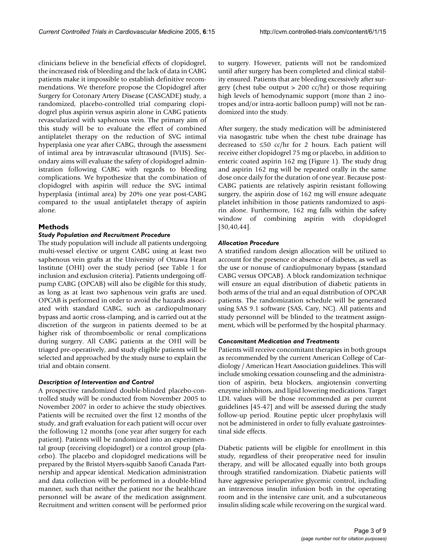clinicians believe in the beneficial effects of clopidogrel, the increased risk of bleeding and the lack of data in CABG patients make it impossible to establish definitive recommendations. We therefore propose the Clopidogrel after Surgery for Coronary Artery Disease (CASCADE) study, a randomized, placebo-controlled trial comparing clopidogrel plus aspirin versus aspirin alone in CABG patients revascularized with saphenous vein. The primary aim of this study will be to evaluate the effect of combined antiplatelet therapy on the reduction of SVG intimal hyperplasia one year after CABG, through the assessment of intimal area by intravascular ultrasound (IVUS). Secondary aims will evaluate the safety of clopidogrel administration following CABG with regards to bleeding complications. We hypothesize that the combination of clopidogrel with aspirin will reduce the SVG intimal hyperplasia (intimal area) by 20% one year post-CABG compared to the usual antiplatelet therapy of aspirin alone.

# **Methods**

# *Study Population and Recruitment Procedure*

The study population will include all patients undergoing multi-vessel elective or urgent CABG using at least two saphenous vein grafts at the University of Ottawa Heart Institute (OHI) over the study period (see Table 1 for inclusion and exclusion criteria). Patients undergoing offpump CABG (OPCAB) will also be eligible for this study, as long as at least two saphenous vein grafts are used. OPCAB is performed in order to avoid the hazards associated with standard CABG, such as cardiopulmonary bypass and aortic cross-clamping, and is carried out at the discretion of the surgeon in patients deemed to be at higher risk of thromboembolic or renal complications during surgery. All CABG patients at the OHI will be triaged pre-operatively, and study eligible patients will be selected and approached by the study nurse to explain the trial and obtain consent.

### *Description of Intervention and Control*

A prospective randomized double-blinded placebo-controlled study will be conducted from November 2005 to November 2007 in order to achieve the study objectives. Patients will be recruited over the first 12 months of the study, and graft evaluation for each patient will occur over the following 12 months (one year after surgery for each patient). Patients will be randomized into an experimental group (receiving clopidogrel) or a control group (placebo). The placebo and clopidogrel medications will be prepared by the Bristol Myers-squibb Sanofi Canada Partnership and appear identical. Medication administration and data collection will be performed in a double-blind manner, such that neither the patient nor the healthcare personnel will be aware of the medication assignment. Recruitment and written consent will be performed prior to surgery. However, patients will not be randomized until after surgery has been completed and clinical stability ensured. Patients that are bleeding excessively after surgery (chest tube output  $> 200$  cc/hr) or those requiring high levels of hemodynamic support (more than 2 inotropes and/or intra-aortic balloon pump) will not be randomized into the study.

After surgery, the study medication will be administered via nasogastric tube when the chest tube drainage has decreased to  $\leq 50$  cc/hr for 2 hours. Each patient will receive either clopidogrel 75 mg or placebo, in addition to enteric coated aspirin 162 mg (Figure [1](#page-3-0)). The study drug and aspirin 162 mg will be repeated orally in the same dose once daily for the duration of one year. Because post-CABG patients are relatively aspirin resistant following surgery, the aspirin dose of 162 mg will ensure adequate platelet inhibition in those patients randomized to aspirin alone. Furthermore, 162 mg falls within the safety window of combining aspirin with clopidogrel [30,40,44].

# *Allocation Procedure*

A stratified random design allocation will be utilized to account for the presence or absence of diabetes, as well as the use or nonuse of cardiopulmonary bypass (standard CABG versus OPCAB). A block randomization technique will ensure an equal distribution of diabetic patients in both arms of the trial and an equal distribution of OPCAB patients. The randomization schedule will be generated using SAS 9.1 software (SAS, Cary, NC). All patients and study personnel will be blinded to the treatment assignment, which will be performed by the hospital pharmacy.

# *Concomitant Medication and Treatments*

Patients will receive concomitant therapies in both groups as recommended by the current American College of Cardiology / American Heart Association guidelines. This will include smoking cessation counseling and the administration of aspirin, beta blockers, angiotensin converting enzyme inhibitors, and lipid lowering medications. Target LDL values will be those recommended as per current guidelines [45-47] and will be assessed during the study follow-up period. Routine peptic ulcer prophylaxis will not be administered in order to fully evaluate gastrointestinal side effects.

Diabetic patients will be eligible for enrollment in this study, regardless of their preoperative need for insulin therapy, and will be allocated equally into both groups through stratified randomization. Diabetic patients will have aggressive perioperative glycemic control, including an intravenous insulin infusion both in the operating room and in the intensive care unit, and a subcutaneous insulin sliding scale while recovering on the surgical ward.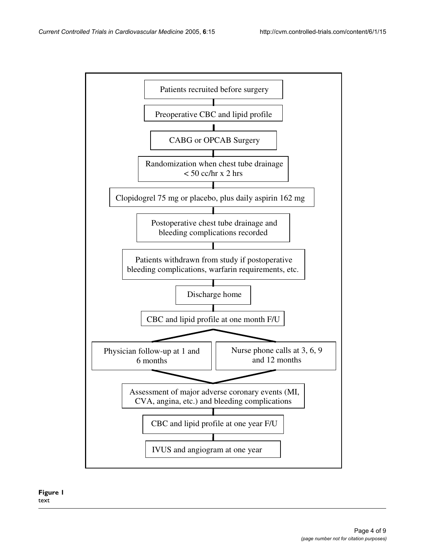<span id="page-3-0"></span>

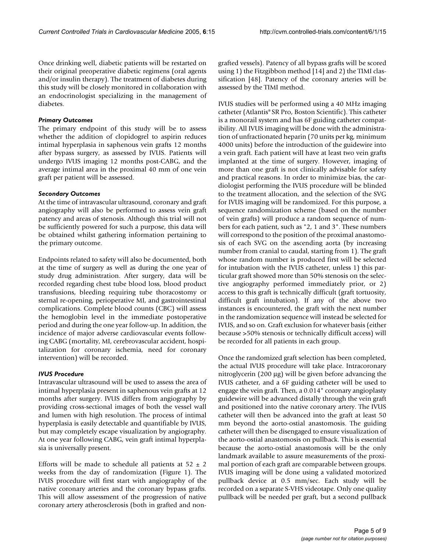Once drinking well, diabetic patients will be restarted on their original preoperative diabetic regimens (oral agents and/or insulin therapy). The treatment of diabetes during this study will be closely monitored in collaboration with an endocrinologist specializing in the management of diabetes.

#### *Primary Outcomes*

The primary endpoint of this study will be to assess whether the addition of clopidogrel to aspirin reduces intimal hyperplasia in saphenous vein grafts 12 months after bypass surgery, as assessed by IVUS. Patients will undergo IVUS imaging 12 months post-CABG, and the average intimal area in the proximal 40 mm of one vein graft per patient will be assessed.

#### *Secondary Outcomes*

At the time of intravascular ultrasound, coronary and graft angiography will also be performed to assess vein graft patency and areas of stenosis. Although this trial will not be sufficiently powered for such a purpose, this data will be obtained whilst gathering information pertaining to the primary outcome.

Endpoints related to safety will also be documented, both at the time of surgery as well as during the one year of study drug administration. After surgery, data will be recorded regarding chest tube blood loss, blood product transfusions, bleeding requiring tube thoracostomy or sternal re-opening, perioperative MI, and gastrointestinal complications. Complete blood counts (CBC) will assess the hemoglobin level in the immediate postoperative period and during the one year follow-up. In addition, the incidence of major adverse cardiovascular events following CABG (mortality, MI, cerebrovascular accident, hospitalization for coronary ischemia, need for coronary intervention) will be recorded.

### *IVUS Procedure*

Intravascular ultrasound will be used to assess the area of intimal hyperplasia present in saphenous vein grafts at 12 months after surgery. IVUS differs from angiography by providing cross-sectional images of both the vessel wall and lumen with high resolution. The process of intimal hyperplasia is easily detectable and quantifiable by IVUS, but may completely escape visualization by angiography. At one year following CABG, vein graft intimal hyperplasia is universally present.

Efforts will be made to schedule all patients at  $52 \pm 2$ weeks from the day of randomization (Figure [1](#page-3-0)). The IVUS procedure will first start with angiography of the native coronary arteries and the coronary bypass grafts. This will allow assessment of the progression of native coronary artery atherosclerosis (both in grafted and nongrafted vessels). Patency of all bypass grafts will be scored using 1) the Fitzgibbon method [14] and 2) the TIMI classification [[48](#page-8-0)]. Patency of the coronary arteries will be assessed by the TIMI method.

IVUS studies will be performed using a 40 MHz imaging catheter (Atlantis® SR Pro, Boston Scientific). This catheter is a monorail system and has 6F guiding catheter compatibility. All IVUS imaging will be done with the administration of unfractionated heparin (70 units per kg, minimum 4000 units) before the introduction of the guidewire into a vein graft. Each patient will have at least two vein grafts implanted at the time of surgery. However, imaging of more than one graft is not clinically advisable for safety and practical reasons. In order to minimize bias, the cardiologist performing the IVUS procedure will be blinded to the treatment allocation, and the selection of the SVG for IVUS imaging will be randomized. For this purpose, a sequence randomization scheme (based on the number of vein grafts) will produce a random sequence of numbers for each patient, such as "2, 1 and 3". These numbers will correspond to the position of the proximal anastomosis of each SVG on the ascending aorta (by increasing number from cranial to caudal, starting from 1). The graft whose random number is produced first will be selected for intubation with the IVUS catheter, unless 1) this particular graft showed more than 50% stenosis on the selective angiography performed immediately prior, or 2) access to this graft is technically difficult (graft tortuosity, difficult graft intubation). If any of the above two instances is encountered, the graft with the next number in the randomization sequence will instead be selected for IVUS, and so on. Graft exclusion for whatever basis (either because >50% stenosis or technically difficult access) will be recorded for all patients in each group.

Once the randomized graft selection has been completed, the actual IVUS procedure will take place. Intracoronary nitroglycerin (200 µg) will be given before advancing the IVUS catheter, and a 6F guiding catheter will be used to engage the vein graft. Then, a 0.014" coronary angioplasty guidewire will be advanced distally through the vein graft and positioned into the native coronary artery. The IVUS catheter will then be advanced into the graft at least 50 mm beyond the aorto-ostial anastomosis. The guiding catheter will then be disengaged to ensure visualization of the aorto-ostial anastomosis on pullback. This is essential because the aorto-ostial anastomosis will be the only landmark available to assure measurements of the proximal portion of each graft are comparable between groups. IVUS imaging will be done using a validated motorized pullback device at 0.5 mm/sec. Each study will be recorded on a separate S-VHS videotape. Only one quality pullback will be needed per graft, but a second pullback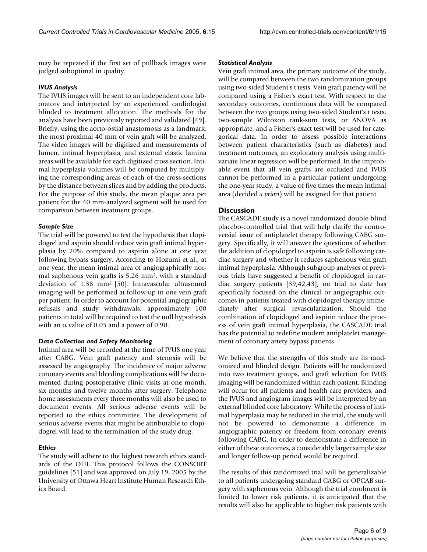may be repeated if the first set of pullback images were judged suboptimal in quality.

# *IVUS Analysis*

The IVUS images will be sent to an independent core laboratory and interpreted by an experienced cardiologist blinded to treatment allocation. The methods for the analysis have been previously reported and validated [49]. Briefly, using the aorto-ostial anastomosis as a landmark, the most proximal 40 mm of vein graft will be analyzed. The video images will be digitized and measurements of lumen, intimal hyperplasia, and external elastic lamina areas will be available for each digitized cross section. Intimal hyperplasia volumes will be computed by multiplying the corresponding areas of each of the cross-sections by the distance between slices and by adding the products. For the purpose of this study, the mean plaque area per patient for the 40 mm-analyzed segment will be used for comparison between treatment groups.

# *Sample Size*

The trial will be powered to test the hypothesis that clopidogrel and aspirin should reduce vein graft intimal hyperplasia by 20% compared to aspirin alone at one year following bypass surgery. According to Hozumi et al., at one year, the mean intimal area of angiographically normal saphenous vein grafts is 5.26 mm2, with a standard deviation of 1.38 mm2 [50]. Intravascular ultrasound imaging will be performed at follow-up in one vein graft per patient. In order to account for potential angiographic refusals and study withdrawals, approximately 100 patients in total will be required to test the null hypothesis with an  $\alpha$  value of 0.05 and a power of 0.90.

# *Data Collection and Safety Monitoring*

Intimal area will be recorded at the time of IVUS one year after CABG. Vein graft patency and stenosis will be assessed by angiography. The incidence of major adverse coronary events and bleeding complications will be documented during postoperative clinic visits at one month, six months and twelve months after surgery. Telephone home assessments every three months will also be used to document events. All serious adverse events will be reported to the ethics committee. The development of serious adverse events that might be attributable to clopidogrel will lead to the termination of the study drug.

# *Ethics*

The study will adhere to the highest research ethics standards of the OHI. This protocol follows the CONSORT guidelines [51] and was approved on July 19, 2005 by the University of Ottawa Heart Institute Human Research Ethics Board.

# *Statistical Analysis*

Vein graft intimal area, the primary outcome of the study, will be compared between the two randomization groups using two-sided Student's t tests. Vein graft patency will be compared using a Fisher's exact test. With respect to the secondary outcomes, continuous data will be compared between the two groups using two-sided Student's t tests, two-sample Wilcoxon rank-sum tests, or ANOVA as appropriate, and a Fisher's exact test will be used for categorical data. In order to assess possible interactions between patient characteristics (such as diabetes) and treatment outcomes, an exploratory analysis using multivariate linear regression will be performed. In the improbable event that all vein grafts are occluded and IVUS cannot be performed in a particular patient undergoing the one-year study, a value of five times the mean intimal area (decided *a priori*) will be assigned for that patient.

# **Discussion**

The CASCADE study is a novel randomized double-blind placebo-controlled trial that will help clarify the controversial issue of antiplatelet therapy following CABG surgery. Specifically, it will answer the questions of whether the addition of clopidogrel to aspirin is safe following cardiac surgery and whether it reduces saphenous vein graft intimal hyperplasia. Although subgroup analyses of previous trials have suggested a benefit of clopidogrel in cardiac surgery patients [39,42,43], no trial to date has specifically focused on the clinical or angiographic outcomes in patients treated with clopidogrel therapy immediately after surgical revascularization. Should the combination of clopidogrel and aspirin reduce the process of vein graft intimal hyperplasia, the CASCADE trial has the potential to redefine modern antiplatelet management of coronary artery bypass patients.

We believe that the strengths of this study are its randomized and blinded design. Patients will be randomized into two treatment groups, and graft selection for IVUS imaging will be randomized within each patient. Blinding will occur for all patients and health care providers, and the IVUS and angiogram images will be interpreted by an external blinded core laboratory. While the process of intimal hyperplasia may be reduced in the trial, the study will not be powered to demonstrate a difference in angiographic patency or freedom from coronary events following CABG. In order to demonstrate a difference in either of these outcomes, a considerably larger sample size and longer follow-up period would be required.

The results of this randomized trial will be generalizable to all patients undergoing standard CABG or OPCAB surgery with saphenous vein. Although the trial enrolment is limited to lower risk patients, it is anticipated that the results will also be applicable to higher risk patients with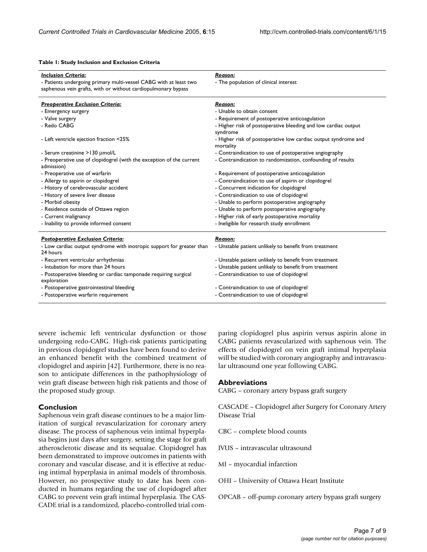#### **Table 1: Study Inclusion and Exclusion Criteria**

| <b>Inclusion Criteria:</b><br>- Patients undergoing primary multi-vessel CABG with at least two<br>saphenous vein grafts, with or without cardiopulmonary bypass | Reason:<br>- The population of clinical interest                            |
|------------------------------------------------------------------------------------------------------------------------------------------------------------------|-----------------------------------------------------------------------------|
| <b>Preoperative Exclusion Criteria:</b>                                                                                                                          | Reason:                                                                     |
| - Emergency surgery                                                                                                                                              | - Unable to obtain consent                                                  |
| - Valve surgery                                                                                                                                                  | - Requirement of postoperative anticoagulation                              |
| - Redo CABG                                                                                                                                                      | - Higher risk of postoperative bleeding and low cardiac output<br>syndrome  |
| - Left ventricle ejection fraction <25%                                                                                                                          | - Higher risk of postoperative low cardiac output syndrome and<br>mortality |
| - Serum creatinine >130 µmol/L                                                                                                                                   | - Contraindication to use of postoperative angiography                      |
| - Preoperative use of clopidogrel (with the exception of the current<br>admission)                                                                               | - Contraindication to randomization, confounding of results                 |
| - Preoperative use of warfarin                                                                                                                                   | - Requirement of postoperative anticoagulation                              |
| - Allergy to aspirin or clopidogrel                                                                                                                              | - Contraindication to use of aspirin or clopidogrel                         |
| - History of cerebrovascular accident                                                                                                                            | - Concurrent indication for clopidogrel                                     |
| - History of severe liver disease                                                                                                                                | - Contraindication to use of clopidogrel                                    |
| - Morbid obesity                                                                                                                                                 | - Unable to perform postoperative angiography                               |
| - Residence outside of Ottawa region                                                                                                                             | - Unable to perform postoperative angiography                               |
| - Current malignancy                                                                                                                                             | - Higher risk of early postoperative mortality                              |
| - Inability to provide informed consent                                                                                                                          | - Ineligible for research study enrollment                                  |
| <b>Postoperative Exclusion Criteria:</b>                                                                                                                         | Reason:                                                                     |
| - Low cardiac output syndrome with inotropic support for greater than<br>24 hours                                                                                | - Unstable patient unlikely to benefit from treatment                       |
| - Recurrent ventricular arrhythmias                                                                                                                              | - Unstable patient unlikely to benefit from treatment                       |
| - Intubation for more than 24 hours                                                                                                                              | - Unstable patient unlikely to benefit from treatment                       |
| - Postoperative bleeding or cardiac tamponade requiring surgical<br>exploration                                                                                  | - Contraindication to use of clopidogrel                                    |
| - Postoperative gastrointestinal bleeding                                                                                                                        | - Contraindication to use of clopidogrel                                    |
| - Postoperative warfarin requirement                                                                                                                             | - Contraindication to use of clopidogrel                                    |

severe ischemic left ventricular dysfunction or those undergoing redo-CABG. High-risk patients participating in previous clopidogrel studies have been found to derive an enhanced benefit with the combined treatment of clopidogrel and aspirin [42]. Furthermore, there is no reason to anticipate differences in the pathophysiology of vein graft disease between high risk patients and those of the proposed study group.

### **Conclusion**

Saphenous vein graft disease continues to be a major limitation of surgical revascularization for coronary artery disease. The process of saphenous vein intimal hyperplasia begins just days after surgery, setting the stage for graft atherosclerotic disease and its sequalae. Clopidogrel has been demonstrated to improve outcomes in patients with coronary and vascular disease, and it is effective at reducing intimal hyperplasia in animal models of thrombosis. However, no prospective study to date has been conducted in humans regarding the use of clopidogrel after CABG to prevent vein graft intimal hyperplasia. The CAS-CADE trial is a randomized, placebo-controlled trial comparing clopidogrel plus aspirin versus aspirin alone in CABG patients revascularized with saphenous vein. The effects of clopidogrel on vein graft intimal hyperplasia will be studied with coronary angiography and intravascular ultrasound one year following CABG.

### **Abbreviations**

CABG – coronary artery bypass graft surgery

CASCADE – Clopidogrel after Surgery for Coronary Artery Disease Trial

CBC – complete blood counts

IVUS – intravascular ultrasound

- MI myocardial infarction
- OHI University of Ottawa Heart Institute
- OPCAB off-pump coronary artery bypass graft surgery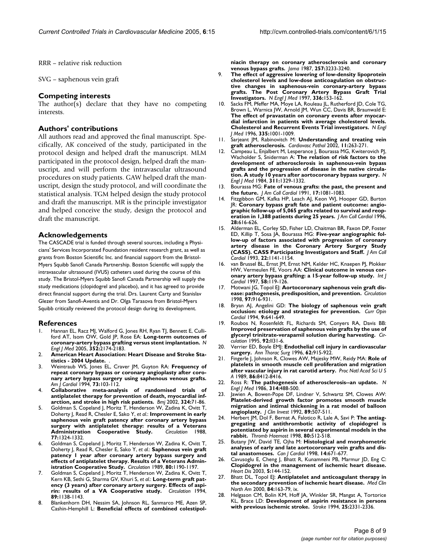RRR – relative risk reduction

SVG – saphenous vein graft

#### **Competing interests**

The author(s) declare that they have no competing interests.

#### **Authors' contributions**

All authors read and approved the final manuscript. Specifically, AK conceived of the study, participated in the protocol design and helped draft the manuscript. MLM participated in the protocol design, helped draft the manuscript, and will perform the intravascular ultrasound procedures on study patients. GAW helped draft the manuscript, design the study protocol, and will coordinate the statistical analysis. TGM helped design the study protocol and draft the manuscript. MR is the principle investigator and helped conceive the study, design the protocol and draft the manuscript.

#### **Acknowledgements**

The CASCADE trial is funded through several sources, including a Physicians' Services Incorporated Foundation resident research grant, as well as grants from Boston Scientific Inc. and financial support from the Bristol-Myers Squibb Sanofi Canada Partnership. Boston Scientific will supply the intravascular ultrasound (IVUS) catheters used during the course of this study. The Bristol-Myers Squibb Sanofi Canada Partnership will supply the study medications (clopidogrel and placebo), and it has agreed to provide direct financial support during the trial. Drs. Laurent Carty and Stanislav Glezer from Sanofi-Aventis and Dr. Olga Tarasova from Bristol-Myers Squibb critically reviewed the protocol design during its development.

#### **References**

- 1. Hannan EL, Racz MJ, Walford G, Jones RH, Ryan TJ, Bennett E, Culliford AT, Isom OW, Gold JP, Rose EA: **[Long-term outcomes of](http://www.ncbi.nlm.nih.gov/entrez/query.fcgi?cmd=Retrieve&db=PubMed&dopt=Abstract&list_uids=15917382) [coronary-artery bypass grafting versus stent implantation.](http://www.ncbi.nlm.nih.gov/entrez/query.fcgi?cmd=Retrieve&db=PubMed&dopt=Abstract&list_uids=15917382)** *N Engl J Med* 2005, **352:**2174-2183.
- 2. **American Heart Association: Heart Disease and Stroke Statistics - 2004 Update.** .
- 3. Weintraub WS, Jones EL, Craver JM, Guyton RA: **[Frequency of](http://www.ncbi.nlm.nih.gov/entrez/query.fcgi?cmd=Retrieve&db=PubMed&dopt=Abstract&list_uids=8296729) repeat coronary bypass or coronary angioplasty after coro[nary artery bypass surgery using saphenous venous grafts.](http://www.ncbi.nlm.nih.gov/entrez/query.fcgi?cmd=Retrieve&db=PubMed&dopt=Abstract&list_uids=8296729)** *Am J Cardiol* 1994, **73:**103-112.
- 4. **[Collaborative meta-analysis of randomised trials of](http://www.ncbi.nlm.nih.gov/entrez/query.fcgi?cmd=Retrieve&db=PubMed&dopt=Abstract&list_uids=11786451) [antiplatelet therapy for prevention of death, myocardial inf](http://www.ncbi.nlm.nih.gov/entrez/query.fcgi?cmd=Retrieve&db=PubMed&dopt=Abstract&list_uids=11786451)[arction, and stroke in high risk patients.](http://www.ncbi.nlm.nih.gov/entrez/query.fcgi?cmd=Retrieve&db=PubMed&dopt=Abstract&list_uids=11786451)** *Bmj* 2002, **324:**71-86.
- 5. Goldman S, Copeland J, Moritz T, Henderson W, Zadina K, Ovitt T, Doherty J, Read R, Chesler E, Sako Y, *et al.*: **[Improvement in early](http://www.ncbi.nlm.nih.gov/entrez/query.fcgi?cmd=Retrieve&db=PubMed&dopt=Abstract&list_uids=3286040) saphenous vein graft patency after coronary artery bypass [surgery with antiplatelet therapy: results of a Veterans](http://www.ncbi.nlm.nih.gov/entrez/query.fcgi?cmd=Retrieve&db=PubMed&dopt=Abstract&list_uids=3286040) [Administration Cooperative Study.](http://www.ncbi.nlm.nih.gov/entrez/query.fcgi?cmd=Retrieve&db=PubMed&dopt=Abstract&list_uids=3286040)** *Circulation* 1988, **77:**1324-1332.
- 6. Goldman S, Copeland J, Moritz T, Henderson W, Zadina K, Ovitt T, Doherty J, Read R, Chesler E, Sako Y, *et al.*: **[Saphenous vein graft](http://www.ncbi.nlm.nih.gov/entrez/query.fcgi?cmd=Retrieve&db=PubMed&dopt=Abstract&list_uids=2680158) patency 1 year after coronary artery bypass surgery and [effects of antiplatelet therapy. Results of a Veterans Admin](http://www.ncbi.nlm.nih.gov/entrez/query.fcgi?cmd=Retrieve&db=PubMed&dopt=Abstract&list_uids=2680158)[istration Cooperative Study.](http://www.ncbi.nlm.nih.gov/entrez/query.fcgi?cmd=Retrieve&db=PubMed&dopt=Abstract&list_uids=2680158)** *Circulation* 1989, **80:**1190-1197.
- 7. Goldman S, Copeland J, Moritz T, Henderson W, Zadina K, Ovitt T, Kern KB, Sethi G, Sharma GV, Khuri S, *et al.*: **[Long-term graft pat](http://www.ncbi.nlm.nih.gov/entrez/query.fcgi?cmd=Retrieve&db=PubMed&dopt=Abstract&list_uids=8124800)[ency \(3 years\) after coronary artery surgery. Effects of aspi](http://www.ncbi.nlm.nih.gov/entrez/query.fcgi?cmd=Retrieve&db=PubMed&dopt=Abstract&list_uids=8124800)[rin: results of a VA Cooperative study.](http://www.ncbi.nlm.nih.gov/entrez/query.fcgi?cmd=Retrieve&db=PubMed&dopt=Abstract&list_uids=8124800)** *Circulation* 1994, **89:**1138-1143.
- 8. Blankenhorn DH, Nessim SA, Johnson RL, Sanmarco ME, Azen SP, Cashin-Hemphill L: **[Beneficial effects of combined colestipol-](http://www.ncbi.nlm.nih.gov/entrez/query.fcgi?cmd=Retrieve&db=PubMed&dopt=Abstract&list_uids=3295315)**

**[niacin therapy on coronary atherosclerosis and coronary](http://www.ncbi.nlm.nih.gov/entrez/query.fcgi?cmd=Retrieve&db=PubMed&dopt=Abstract&list_uids=3295315) [venous bypass grafts.](http://www.ncbi.nlm.nih.gov/entrez/query.fcgi?cmd=Retrieve&db=PubMed&dopt=Abstract&list_uids=3295315)** *Jama* 1987, **257:**3233-3240.

- 9. **[The effect of aggressive lowering of low-density lipoprotein](http://www.ncbi.nlm.nih.gov/entrez/query.fcgi?cmd=Retrieve&db=PubMed&dopt=Abstract&list_uids=8992351) cholesterol levels and low-dose anticoagulation on obstruc[tive changes in saphenous-vein coronary-artery bypass](http://www.ncbi.nlm.nih.gov/entrez/query.fcgi?cmd=Retrieve&db=PubMed&dopt=Abstract&list_uids=8992351) grafts. The Post Coronary Artery Bypass Graft Trial [Investigators.](http://www.ncbi.nlm.nih.gov/entrez/query.fcgi?cmd=Retrieve&db=PubMed&dopt=Abstract&list_uids=8992351)** *N Engl J Med* 1997, **336:**153-162.
- 10. Sacks FM, Pfeffer MA, Moye LA, Rouleau JL, Rutherford JD, Cole TG, Brown L, Warnica JW, Arnold JM, Wun CC, Davis BR, Braunwald E: **The effect of pravastatin on coronary events after myocar[dial infarction in patients with average cholesterol levels.](http://www.ncbi.nlm.nih.gov/entrez/query.fcgi?cmd=Retrieve&db=PubMed&dopt=Abstract&list_uids=8801446) [Cholesterol and Recurrent Events Trial investigators.](http://www.ncbi.nlm.nih.gov/entrez/query.fcgi?cmd=Retrieve&db=PubMed&dopt=Abstract&list_uids=8801446)** *N Engl J Med* 1996, **335:**1001-1009.
- 11. Sarjeant JM, Rabinovitch M: **[Understanding and treating vein](http://www.ncbi.nlm.nih.gov/entrez/query.fcgi?cmd=Retrieve&db=PubMed&dopt=Abstract&list_uids=12361836) [graft atherosclerosis.](http://www.ncbi.nlm.nih.gov/entrez/query.fcgi?cmd=Retrieve&db=PubMed&dopt=Abstract&list_uids=12361836)** *Cardiovasc Pathol* 2002, **11:**263-271.
- 12. Campeau L, Enjalbert M, Lesperance J, Bourassa MG, Kwiterovich PJ, Wacholder S, Sniderman A: **[The relation of risk factors to the](http://www.ncbi.nlm.nih.gov/entrez/query.fcgi?cmd=Retrieve&db=PubMed&dopt=Abstract&list_uids=6333635) development of atherosclerosis in saphenous-vein bypass [grafts and the progression of disease in the native circula](http://www.ncbi.nlm.nih.gov/entrez/query.fcgi?cmd=Retrieve&db=PubMed&dopt=Abstract&list_uids=6333635)[tion. A study 10 years after aortocoronary bypass surgery.](http://www.ncbi.nlm.nih.gov/entrez/query.fcgi?cmd=Retrieve&db=PubMed&dopt=Abstract&list_uids=6333635)** *N Engl J Med* 1984, **311:**1329-1332.
- 13. Bourassa MG: **[Fate of venous grafts: the past, the present and](http://www.ncbi.nlm.nih.gov/entrez/query.fcgi?cmd=Retrieve&db=PubMed&dopt=Abstract&list_uids=2007707) [the future.](http://www.ncbi.nlm.nih.gov/entrez/query.fcgi?cmd=Retrieve&db=PubMed&dopt=Abstract&list_uids=2007707)** *J Am Coll Cardiol* 1991, **17:**1081-1083.
- 14. Fitzgibbon GM, Kafka HP, Leach AJ, Keon WJ, Hooper GD, Burton JR: **[Coronary bypass graft fate and patient outcome: angio](http://www.ncbi.nlm.nih.gov/entrez/query.fcgi?cmd=Retrieve&db=PubMed&dopt=Abstract&list_uids=8772748)[graphic follow-up of 5,065 grafts related to survival and reop](http://www.ncbi.nlm.nih.gov/entrez/query.fcgi?cmd=Retrieve&db=PubMed&dopt=Abstract&list_uids=8772748)[eration in 1,388 patients during 25 years.](http://www.ncbi.nlm.nih.gov/entrez/query.fcgi?cmd=Retrieve&db=PubMed&dopt=Abstract&list_uids=8772748)** *J Am Coll Cardiol* 1996, **28:**616-626.
- 15. Alderman EL, Corley SD, Fisher LD, Chaitman BR, Faxon DP, Foster ED, Killip T, Sosa JA, Bourassa MG: **[Five-year angiographic fol](http://www.ncbi.nlm.nih.gov/entrez/query.fcgi?cmd=Retrieve&db=PubMed&dopt=Abstract&list_uids=8409054)low-up of factors associated with progression of coronary [artery disease in the Coronary Artery Surgery Study](http://www.ncbi.nlm.nih.gov/entrez/query.fcgi?cmd=Retrieve&db=PubMed&dopt=Abstract&list_uids=8409054) [\(CASS\). CASS Participating Investigators and Staff.](http://www.ncbi.nlm.nih.gov/entrez/query.fcgi?cmd=Retrieve&db=PubMed&dopt=Abstract&list_uids=8409054)** *J Am Coll Cardiol* 1993, **22:**1141-1154.
- 16. van Brussel BL, Ernst JM, Ernst NM, Kelder HC, Knaepen PJ, Plokker HW, Vermeulen FE, Voors AA: **[Clinical outcome in venous cor](http://www.ncbi.nlm.nih.gov/entrez/query.fcgi?cmd=Retrieve&db=PubMed&dopt=Abstract&list_uids=9049676)[onary artery bypass grafting: a 15-year follow-up study.](http://www.ncbi.nlm.nih.gov/entrez/query.fcgi?cmd=Retrieve&db=PubMed&dopt=Abstract&list_uids=9049676)** *Int J Cardiol* 1997, **58:**119-126.
- 17. Motwani JG, Topol EJ: [Aortocoronary saphenous vein graft dis](http://www.ncbi.nlm.nih.gov/entrez/query.fcgi?cmd=Retrieve&db=PubMed&dopt=Abstract&list_uids=9521341)**[ease: pathogenesis, predisposition, and prevention.](http://www.ncbi.nlm.nih.gov/entrez/query.fcgi?cmd=Retrieve&db=PubMed&dopt=Abstract&list_uids=9521341)** *Circulation* 1998, **97:**916-931.
- 18. Bryan AJ, Angelini GD: **[The biology of saphenous vein graft](http://www.ncbi.nlm.nih.gov/entrez/query.fcgi?cmd=Retrieve&db=PubMed&dopt=Abstract&list_uids=7819622) [occlusion: etiology and strategies for prevention.](http://www.ncbi.nlm.nih.gov/entrez/query.fcgi?cmd=Retrieve&db=PubMed&dopt=Abstract&list_uids=7819622)** *Curr Opin Cardiol* 1994, **9:**641-649.
- 19. Roubos N, Rosenfeldt FL, Richards SM, Conyers RA, Davis BB: **[Improved preservation of saphenous vein grafts by the use of](http://www.ncbi.nlm.nih.gov/entrez/query.fcgi?cmd=Retrieve&db=PubMed&dopt=Abstract&list_uids=7586430) [glyceryl trinitrate-verapamil solution during harvesting.](http://www.ncbi.nlm.nih.gov/entrez/query.fcgi?cmd=Retrieve&db=PubMed&dopt=Abstract&list_uids=7586430)** *Circulation* 1995, **92:**II31-6.
- 20. Verrier ED, Boyle EMJ: **[Endothelial cell injury in cardiovascular](http://www.ncbi.nlm.nih.gov/entrez/query.fcgi?cmd=Retrieve&db=PubMed&dopt=Abstract&list_uids=8784042) [surgery.](http://www.ncbi.nlm.nih.gov/entrez/query.fcgi?cmd=Retrieve&db=PubMed&dopt=Abstract&list_uids=8784042)** *Ann Thorac Surg* 1996, **62:**915-922.
- 21. Fingerle J, Johnson R, Clowes AW, Majesky MW, Reidy MA: **[Role of](http://www.ncbi.nlm.nih.gov/entrez/query.fcgi?cmd=Retrieve&db=PubMed&dopt=Abstract&list_uids=2813399) [platelets in smooth muscle cell proliferation and migration](http://www.ncbi.nlm.nih.gov/entrez/query.fcgi?cmd=Retrieve&db=PubMed&dopt=Abstract&list_uids=2813399) [after vascular injury in rat carotid artery.](http://www.ncbi.nlm.nih.gov/entrez/query.fcgi?cmd=Retrieve&db=PubMed&dopt=Abstract&list_uids=2813399)** *Proc Natl Acad Sci U S A* 1989, **86:**8412-8416.
- 22. Ross R: **[The pathogenesis of atherosclerosis--an update.](http://www.ncbi.nlm.nih.gov/entrez/query.fcgi?cmd=Retrieve&db=PubMed&dopt=Abstract&list_uids=3511384)** *N Engl J Med* 1986, **314:**488-500.
- 23. Jawien A, Bowen-Pope DF, Lindner V, Schwartz SM, Clowes AW: **Platelet-derived growth factor promotes smooth muscle [migration and intimal thickening in a rat model of balloon](http://www.ncbi.nlm.nih.gov/entrez/query.fcgi?cmd=Retrieve&db=PubMed&dopt=Abstract&list_uids=1531345) [angioplasty.](http://www.ncbi.nlm.nih.gov/entrez/query.fcgi?cmd=Retrieve&db=PubMed&dopt=Abstract&list_uids=1531345)** *J Clin Invest* 1992, **89:**507-511.
- 24. Herbert JM, Dol F, Bernat A, Falotico R, Lale A, Savi P: **[The antiag](http://www.ncbi.nlm.nih.gov/entrez/query.fcgi?cmd=Retrieve&db=PubMed&dopt=Abstract&list_uids=9759636)gregating and antithrombotic activity of clopidogrel is [potentiated by aspirin in several experimental models in the](http://www.ncbi.nlm.nih.gov/entrez/query.fcgi?cmd=Retrieve&db=PubMed&dopt=Abstract&list_uids=9759636) [rabbit.](http://www.ncbi.nlm.nih.gov/entrez/query.fcgi?cmd=Retrieve&db=PubMed&dopt=Abstract&list_uids=9759636)** *Thromb Haemost* 1998, **80:**512-518.
- 25. Butany JW, David TE, Ojha M: **[Histological and morphometric](http://www.ncbi.nlm.nih.gov/entrez/query.fcgi?cmd=Retrieve&db=PubMed&dopt=Abstract&list_uids=9627522) [analyses of early and late aortocoronary vein grafts and dis](http://www.ncbi.nlm.nih.gov/entrez/query.fcgi?cmd=Retrieve&db=PubMed&dopt=Abstract&list_uids=9627522)[tal anastomoses.](http://www.ncbi.nlm.nih.gov/entrez/query.fcgi?cmd=Retrieve&db=PubMed&dopt=Abstract&list_uids=9627522)** *Can J Cardiol* 1998, **14:**671-677.
- Cavusoglu E, Cheng J, Bhatt R, Kunamneni PB, Marmur JD, Eng C: **[Clopidogrel in the management of ischemic heart disease.](http://www.ncbi.nlm.nih.gov/entrez/query.fcgi?cmd=Retrieve&db=PubMed&dopt=Abstract&list_uids=12713681)** *Heart Dis* 2003, **5:**144-152.
- 27. Bhatt DL, Topol EJ: **[Antiplatelet and anticoagulant therapy in](http://www.ncbi.nlm.nih.gov/entrez/query.fcgi?cmd=Retrieve&db=PubMed&dopt=Abstract&list_uids=10685133) [the secondary prevention of ischemic heart disease.](http://www.ncbi.nlm.nih.gov/entrez/query.fcgi?cmd=Retrieve&db=PubMed&dopt=Abstract&list_uids=10685133)** *Med Clin North Am* 2000, **84:**163-79, ix.
- 28. Helgason CM, Bolin KM, Hoff JA, Winkler SR, Mangat A, Tortorice KL, Brace LD: **[Development of aspirin resistance in persons](http://www.ncbi.nlm.nih.gov/entrez/query.fcgi?cmd=Retrieve&db=PubMed&dopt=Abstract&list_uids=7974569) [with previous ischemic stroke.](http://www.ncbi.nlm.nih.gov/entrez/query.fcgi?cmd=Retrieve&db=PubMed&dopt=Abstract&list_uids=7974569)** *Stroke* 1994, **25:**2331-2336.